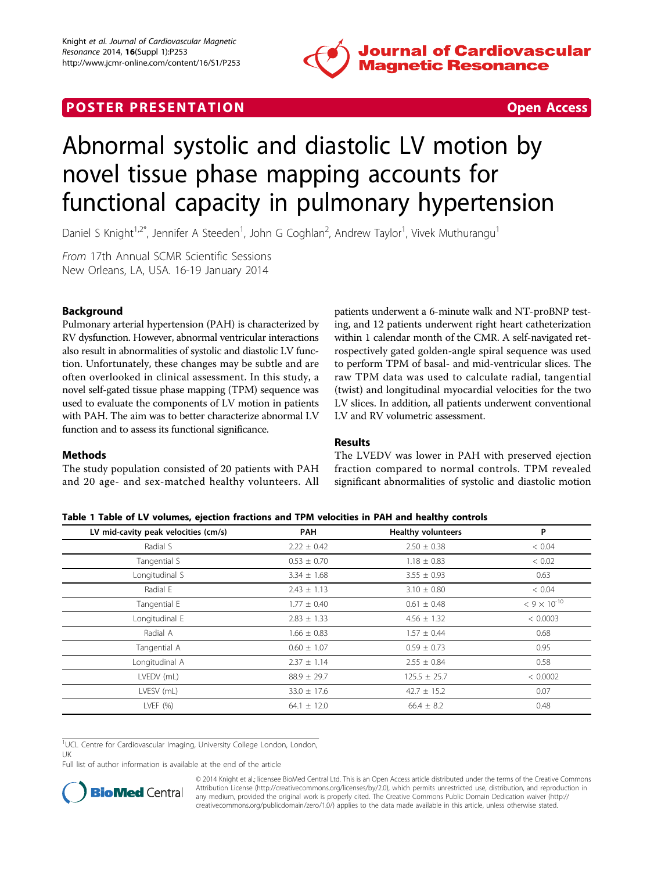

# <span id="page-0-0"></span>**POSTER PRESENTATION CONSUMING THE SECOND CONSUMING THE SECOND CONSUMING THE SECOND CONSUMING THE SECOND CONSUMING THE SECOND CONSUMING THE SECOND CONSUMING THE SECOND CONSUMING THE SECOND CONSUMING THE SECOND CONSUMING**



# Abnormal systolic and diastolic LV motion by novel tissue phase mapping accounts for functional capacity in pulmonary hypertension

Daniel S Knight<sup>1,2\*</sup>, Jennifer A Steeden<sup>1</sup>, John G Coghlan<sup>2</sup>, Andrew Taylor<sup>1</sup>, Vivek Muthurangu<sup>1</sup>

From 17th Annual SCMR Scientific Sessions New Orleans, LA, USA. 16-19 January 2014

## Background

Pulmonary arterial hypertension (PAH) is characterized by RV dysfunction. However, abnormal ventricular interactions also result in abnormalities of systolic and diastolic LV function. Unfortunately, these changes may be subtle and are often overlooked in clinical assessment. In this study, a novel self-gated tissue phase mapping (TPM) sequence was used to evaluate the components of LV motion in patients with PAH. The aim was to better characterize abnormal LV function and to assess its functional significance.

patients underwent a 6-minute walk and NT-proBNP testing, and 12 patients underwent right heart catheterization within 1 calendar month of the CMR. A self-navigated retrospectively gated golden-angle spiral sequence was used to perform TPM of basal- and mid-ventricular slices. The raw TPM data was used to calculate radial, tangential (twist) and longitudinal myocardial velocities for the two LV slices. In addition, all patients underwent conventional LV and RV volumetric assessment.

### Methods

The study population consisted of 20 patients with PAH and 20 age- and sex-matched healthy volunteers. All Results

The LVEDV was lower in PAH with preserved ejection fraction compared to normal controls. TPM revealed significant abnormalities of systolic and diastolic motion

#### Table 1 Table of LV volumes, ejection fractions and TPM velocities in PAH and healthy controls

| LV mid-cavity peak velocities (cm/s) | <b>PAH</b>      | <b>Healthy volunteers</b> | P                     |
|--------------------------------------|-----------------|---------------------------|-----------------------|
| Radial S                             | $2.22 \pm 0.42$ | $2.50 \pm 0.38$           | < 0.04                |
| Tangential S                         | $0.53 \pm 0.70$ | $1.18 \pm 0.83$           | < 0.02                |
| Longitudinal S                       | $3.34 \pm 1.68$ | $3.55 \pm 0.93$           | 0.63                  |
| Radial E                             | $2.43 \pm 1.13$ | $3.10 \pm 0.80$           | < 0.04                |
| Tangential E                         | $1.77 \pm 0.40$ | $0.61 \pm 0.48$           | $< 9 \times 10^{-10}$ |
| Longitudinal E                       | $2.83 \pm 1.33$ | $4.56 \pm 1.32$           | < 0.0003              |
| Radial A                             | $1.66 \pm 0.83$ | $1.57 \pm 0.44$           | 0.68                  |
| Tangential A                         | $0.60 \pm 1.07$ | $0.59 \pm 0.73$           | 0.95                  |
| Longitudinal A                       | $2.37 \pm 1.14$ | $2.55 \pm 0.84$           | 0.58                  |
| LVEDV (mL)                           | $88.9 \pm 29.7$ | $125.5 \pm 25.7$          | < 0.0002              |
| LVESV (mL)                           | $33.0 \pm 17.6$ | $42.7 \pm 15.2$           | 0.07                  |
| LVEF $(% )$                          | $64.1 \pm 12.0$ | $66.4 \pm 8.2$            | 0.48                  |
|                                      |                 |                           |                       |

<sup>1</sup>UCL Centre for Cardiovascular Imaging, University College London, London,

UK

Full list of author information is available at the end of the article



© 2014 Knight et al.; licensee BioMed Central Ltd. This is an Open Access article distributed under the terms of the Creative Commons Attribution License [\(http://creativecommons.org/licenses/by/2.0](http://creativecommons.org/licenses/by/2.0)), which permits unrestricted use, distribution, and reproduction in any medium, provided the original work is properly cited. The Creative Commons Public Domain Dedication waiver [\(http://](http://creativecommons.org/publicdomain/zero/1.0/) [creativecommons.org/publicdomain/zero/1.0/](http://creativecommons.org/publicdomain/zero/1.0/)) applies to the data made available in this article, unless otherwise stated.